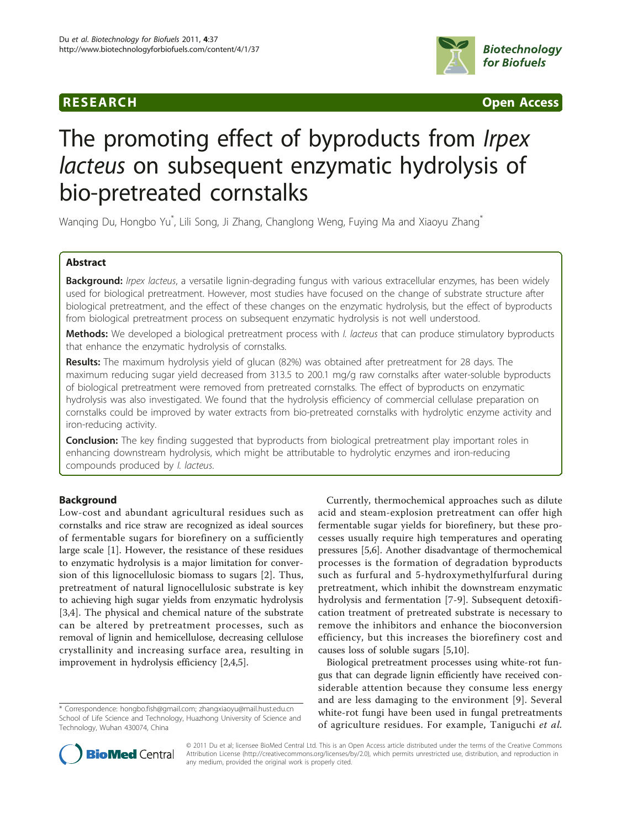

**RESEARCH CONSTRUCTED ACCESS** 

# The promoting effect of byproducts from *Irpex* lacteus on subsequent enzymatic hydrolysis of bio-pretreated cornstalks

Wanqing Du, Hongbo Yu $\degree$ , Lili Song, Ji Zhang, Changlong Weng, Fuying Ma and Xiaoyu Zhang $\degree$ 

# Abstract

Background: Irpex lacteus, a versatile lignin-degrading fungus with various extracellular enzymes, has been widely used for biological pretreatment. However, most studies have focused on the change of substrate structure after biological pretreatment, and the effect of these changes on the enzymatic hydrolysis, but the effect of byproducts from biological pretreatment process on subsequent enzymatic hydrolysis is not well understood.

Methods: We developed a biological pretreatment process with I. lacteus that can produce stimulatory byproducts that enhance the enzymatic hydrolysis of cornstalks.

Results: The maximum hydrolysis yield of glucan (82%) was obtained after pretreatment for 28 days. The maximum reducing sugar yield decreased from 313.5 to 200.1 mg/g raw cornstalks after water-soluble byproducts of biological pretreatment were removed from pretreated cornstalks. The effect of byproducts on enzymatic hydrolysis was also investigated. We found that the hydrolysis efficiency of commercial cellulase preparation on cornstalks could be improved by water extracts from bio-pretreated cornstalks with hydrolytic enzyme activity and iron-reducing activity.

**Conclusion:** The key finding suggested that byproducts from biological pretreatment play important roles in enhancing downstream hydrolysis, which might be attributable to hydrolytic enzymes and iron-reducing compounds produced by I. lacteus.

# Background

Low-cost and abundant agricultural residues such as cornstalks and rice straw are recognized as ideal sources of fermentable sugars for biorefinery on a sufficiently large scale [[1\]](#page-6-0). However, the resistance of these residues to enzymatic hydrolysis is a major limitation for conversion of this lignocellulosic biomass to sugars [[2](#page-6-0)]. Thus, pretreatment of natural lignocellulosic substrate is key to achieving high sugar yields from enzymatic hydrolysis [[3,4](#page-6-0)]. The physical and chemical nature of the substrate can be altered by pretreatment processes, such as removal of lignin and hemicellulose, decreasing cellulose crystallinity and increasing surface area, resulting in improvement in hydrolysis efficiency [[2,4,5\]](#page-6-0).

Currently, thermochemical approaches such as dilute acid and steam-explosion pretreatment can offer high fermentable sugar yields for biorefinery, but these processes usually require high temperatures and operating pressures [[5,6\]](#page-6-0). Another disadvantage of thermochemical processes is the formation of degradation byproducts such as furfural and 5-hydroxymethylfurfural during pretreatment, which inhibit the downstream enzymatic hydrolysis and fermentation [\[7](#page-6-0)-[9](#page-6-0)]. Subsequent detoxification treatment of pretreated substrate is necessary to remove the inhibitors and enhance the bioconversion efficiency, but this increases the biorefinery cost and causes loss of soluble sugars [\[5,10](#page-6-0)].

Biological pretreatment processes using white-rot fungus that can degrade lignin efficiently have received considerable attention because they consume less energy and are less damaging to the environment [[9](#page-6-0)]. Several white-rot fungi have been used in fungal pretreatments of agriculture residues. For example, Taniguchi et al.



© 2011 Du et al; licensee BioMed Central Ltd. This is an Open Access article distributed under the terms of the Creative Commons Attribution License [\(http://creativecommons.org/licenses/by/2.0](http://creativecommons.org/licenses/by/2.0)), which permits unrestricted use, distribution, and reproduction in any medium, provided the original work is properly cited.

<sup>\*</sup> Correspondence: [hongbo.fish@gmail.com](mailto:hongbo.fish@gmail.com); [zhangxiaoyu@mail.hust.edu.cn](mailto:zhangxiaoyu@mail.hust.edu.cn) School of Life Science and Technology, Huazhong University of Science and Technology, Wuhan 430074, China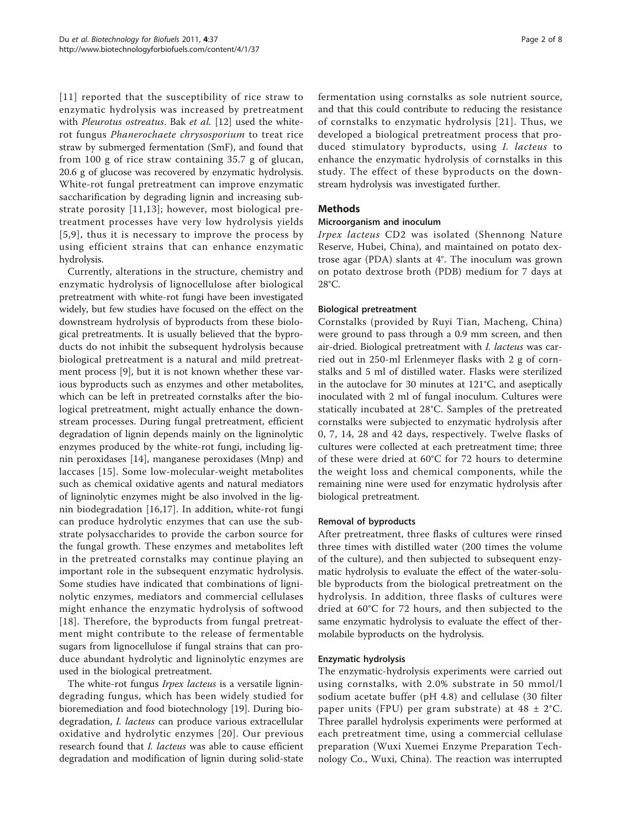[[11\]](#page-6-0) reported that the susceptibility of rice straw to enzymatic hydrolysis was increased by pretreatment with Pleurotus ostreatus. Bak et al. [\[12\]](#page-6-0) used the whiterot fungus Phanerochaete chrysosporium to treat rice straw by submerged fermentation (SmF), and found that from 100 g of rice straw containing 35.7 g of glucan, 20.6 g of glucose was recovered by enzymatic hydrolysis. White-rot fungal pretreatment can improve enzymatic saccharification by degrading lignin and increasing substrate porosity [[11](#page-6-0),[13](#page-6-0)]; however, most biological pretreatment processes have very low hydrolysis yields [[5,9](#page-6-0)], thus it is necessary to improve the process by using efficient strains that can enhance enzymatic hydrolysis.

Currently, alterations in the structure, chemistry and enzymatic hydrolysis of lignocellulose after biological pretreatment with white-rot fungi have been investigated widely, but few studies have focused on the effect on the downstream hydrolysis of byproducts from these biological pretreatments. It is usually believed that the byproducts do not inhibit the subsequent hydrolysis because biological pretreatment is a natural and mild pretreatment process [[9\]](#page-6-0), but it is not known whether these various byproducts such as enzymes and other metabolites, which can be left in pretreated cornstalks after the biological pretreatment, might actually enhance the downstream processes. During fungal pretreatment, efficient degradation of lignin depends mainly on the ligninolytic enzymes produced by the white-rot fungi, including lignin peroxidases [[14\]](#page-7-0), manganese peroxidases (Mnp) and laccases [[15\]](#page-7-0). Some low-molecular-weight metabolites such as chemical oxidative agents and natural mediators of ligninolytic enzymes might be also involved in the lignin biodegradation [[16,17](#page-7-0)]. In addition, white-rot fungi can produce hydrolytic enzymes that can use the substrate polysaccharides to provide the carbon source for the fungal growth. These enzymes and metabolites left in the pretreated cornstalks may continue playing an important role in the subsequent enzymatic hydrolysis. Some studies have indicated that combinations of ligninolytic enzymes, mediators and commercial cellulases might enhance the enzymatic hydrolysis of softwood [[18](#page-7-0)]. Therefore, the byproducts from fungal pretreatment might contribute to the release of fermentable sugars from lignocellulose if fungal strains that can produce abundant hydrolytic and ligninolytic enzymes are used in the biological pretreatment.

The white-rot fungus *Irpex lacteus* is a versatile lignindegrading fungus, which has been widely studied for bioremediation and food biotechnology [\[19\]](#page-7-0). During biodegradation, I. lacteus can produce various extracellular oxidative and hydrolytic enzymes [[20\]](#page-7-0). Our previous research found that *I. lacteus* was able to cause efficient degradation and modification of lignin during solid-state fermentation using cornstalks as sole nutrient source, and that this could contribute to reducing the resistance of cornstalks to enzymatic hydrolysis [[21\]](#page-7-0). Thus, we developed a biological pretreatment process that produced stimulatory byproducts, using I. lacteus to enhance the enzymatic hydrolysis of cornstalks in this study. The effect of these byproducts on the downstream hydrolysis was investigated further.

# Methods

# Microorganism and inoculum

Irpex lacteus CD2 was isolated (Shennong Nature Reserve, Hubei, China), and maintained on potato dextrose agar (PDA) slants at 4°. The inoculum was grown on potato dextrose broth (PDB) medium for 7 days at 28°C.

# Biological pretreatment

Cornstalks (provided by Ruyi Tian, Macheng, China) were ground to pass through a 0.9 mm screen, and then air-dried. Biological pretreatment with I. lacteus was carried out in 250-ml Erlenmeyer flasks with 2 g of cornstalks and 5 ml of distilled water. Flasks were sterilized in the autoclave for 30 minutes at 121°C, and aseptically inoculated with 2 ml of fungal inoculum. Cultures were statically incubated at 28°C. Samples of the pretreated cornstalks were subjected to enzymatic hydrolysis after 0, 7, 14, 28 and 42 days, respectively. Twelve flasks of cultures were collected at each pretreatment time; three of these were dried at 60°C for 72 hours to determine the weight loss and chemical components, while the remaining nine were used for enzymatic hydrolysis after biological pretreatment.

#### Removal of byproducts

After pretreatment, three flasks of cultures were rinsed three times with distilled water (200 times the volume of the culture), and then subjected to subsequent enzymatic hydrolysis to evaluate the effect of the water-soluble byproducts from the biological pretreatment on the hydrolysis. In addition, three flasks of cultures were dried at 60°C for 72 hours, and then subjected to the same enzymatic hydrolysis to evaluate the effect of thermolabile byproducts on the hydrolysis.

#### Enzymatic hydrolysis

The enzymatic-hydrolysis experiments were carried out using cornstalks, with 2.0% substrate in 50 mmol/l sodium acetate buffer (pH 4.8) and cellulase (30 filter paper units (FPU) per gram substrate) at  $48 \pm 2^{\circ}$ C. Three parallel hydrolysis experiments were performed at each pretreatment time, using a commercial cellulase preparation (Wuxi Xuemei Enzyme Preparation Technology Co., Wuxi, China). The reaction was interrupted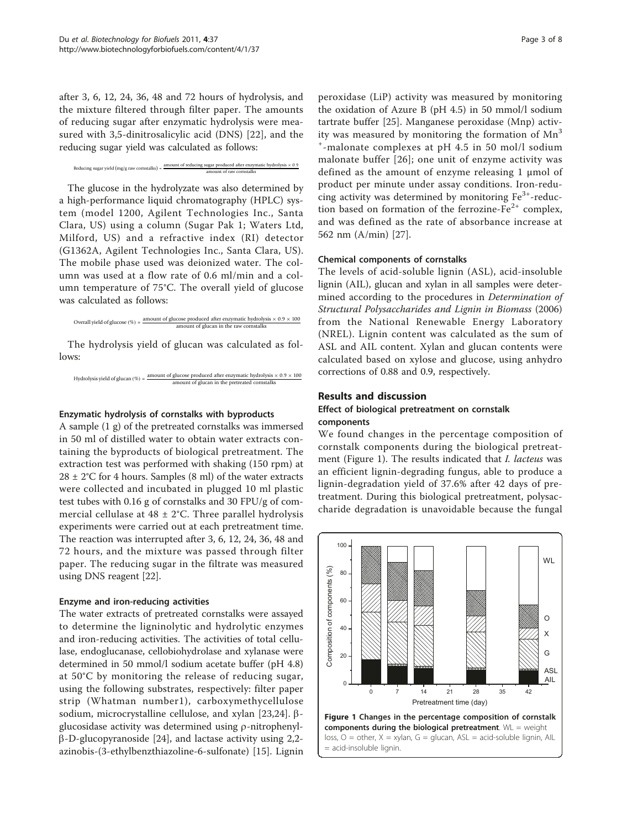<span id="page-2-0"></span>after 3, 6, 12, 24, 36, 48 and 72 hours of hydrolysis, and the mixture filtered through filter paper. The amounts of reducing sugar after enzymatic hydrolysis were measured with 3,5-dinitrosalicylic acid (DNS) [[22\]](#page-7-0), and the reducing sugar yield was calculated as follows:

Reducing sugar yield (mg/g raw cornstalks) =  $\frac{\text{amount of reducing sugar produced after enzymatic hydrolysis} \times 0.9}{\text{amount of raw constants}}$ 

The glucose in the hydrolyzate was also determined by a high-performance liquid chromatography (HPLC) system (model 1200, Agilent Technologies Inc., Santa Clara, US) using a column (Sugar Pak 1; Waters Ltd, Milford, US) and a refractive index (RI) detector (G1362A, Agilent Technologies Inc., Santa Clara, US). The mobile phase used was deionized water. The column was used at a flow rate of 0.6 ml/min and a column temperature of 75°C. The overall yield of glucose was calculated as follows:

```
Overall yield of glucose (\%) = \frac{\text{amount of glucose produced after enzymatic hydrolysis} \times 0.9 \times 100}{\text{Total velocity}}ount of glucan in the raw cornstalk
```
The hydrolysis yield of glucan was calculated as follows:

Hydrolysis yield of glucan  $(\%)$  =  $\frac{\text{amount of glucose produced after enzymatic hydrolysis} \times 0.9 \times 100}{\text{m}$ amount of glucan in the pretreated cornstalks

#### Enzymatic hydrolysis of cornstalks with byproducts

A sample (1 g) of the pretreated cornstalks was immersed in 50 ml of distilled water to obtain water extracts containing the byproducts of biological pretreatment. The extraction test was performed with shaking (150 rpm) at  $28 \pm 2^{\circ}$ C for 4 hours. Samples (8 ml) of the water extracts were collected and incubated in plugged 10 ml plastic test tubes with 0.16 g of cornstalks and 30 FPU/g of commercial cellulase at  $48 \pm 2^{\circ}$ C. Three parallel hydrolysis experiments were carried out at each pretreatment time. The reaction was interrupted after 3, 6, 12, 24, 36, 48 and 72 hours, and the mixture was passed through filter paper. The reducing sugar in the filtrate was measured using DNS reagent [\[22](#page-7-0)].

#### Enzyme and iron-reducing activities

The water extracts of pretreated cornstalks were assayed to determine the ligninolytic and hydrolytic enzymes and iron-reducing activities. The activities of total cellulase, endoglucanase, cellobiohydrolase and xylanase were determined in 50 mmol/l sodium acetate buffer (pH 4.8) at 50°C by monitoring the release of reducing sugar, using the following substrates, respectively: filter paper strip (Whatman number1), carboxymethycellulose sodium, microcrystalline cellulose, and xylan [[23,24\]](#page-7-0).  $\beta$ glucosidase activity was determined using  $\rho$ -nitrophenyl- $\beta$ -D-glucopyranoside [\[24](#page-7-0)], and lactase activity using 2,2azinobis-(3-ethylbenzthiazoline-6-sulfonate) [\[15](#page-7-0)]. Lignin

peroxidase (LiP) activity was measured by monitoring the oxidation of Azure B (pH 4.5) in 50 mmol/l sodium tartrate buffer [[25\]](#page-7-0). Manganese peroxidase (Mnp) activity was measured by monitoring the formation of  $Mn<sup>3</sup>$ + -malonate complexes at pH 4.5 in 50 mol/l sodium malonate buffer [[26\]](#page-7-0); one unit of enzyme activity was defined as the amount of enzyme releasing 1 μmol of product per minute under assay conditions. Iron-reducing activity was determined by monitoring  $Fe<sup>3+</sup>$ -reduction based on formation of the ferrozine- $Fe<sup>2+</sup>$  complex, and was defined as the rate of absorbance increase at 562 nm (A/min) [[27](#page-7-0)].

#### Chemical components of cornstalks

The levels of acid-soluble lignin (ASL), acid-insoluble lignin (AIL), glucan and xylan in all samples were determined according to the procedures in Determination of Structural Polysaccharides and Lignin in Biomass (2006) from the National Renewable Energy Laboratory (NREL). Lignin content was calculated as the sum of ASL and AIL content. Xylan and glucan contents were calculated based on xylose and glucose, using anhydro corrections of 0.88 and 0.9, respectively.

#### Results and discussion

# Effect of biological pretreatment on cornstalk components

We found changes in the percentage composition of cornstalk components during the biological pretreatment (Figure 1). The results indicated that I. lacteus was an efficient lignin-degrading fungus, able to produce a lignin-degradation yield of 37.6% after 42 days of pretreatment. During this biological pretreatment, polysaccharide degradation is unavoidable because the fungal

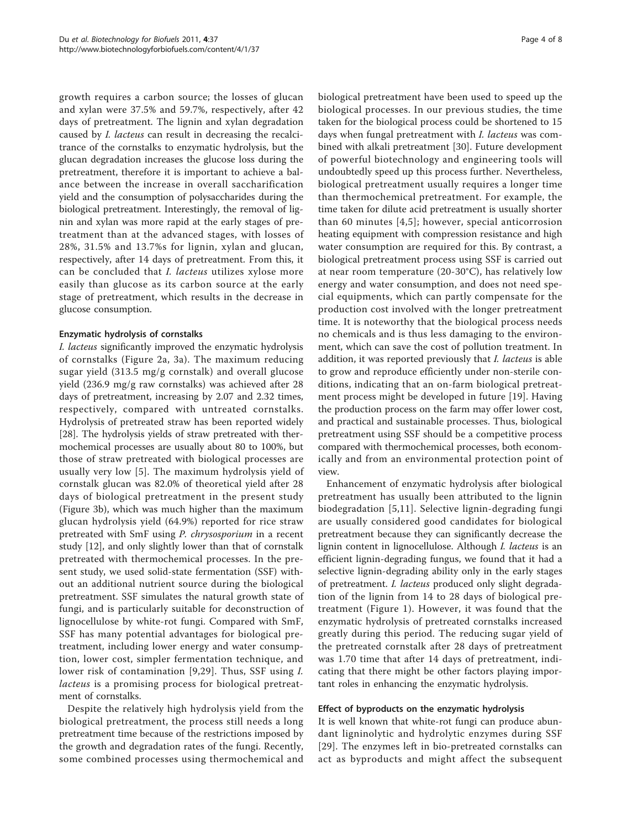growth requires a carbon source; the losses of glucan and xylan were 37.5% and 59.7%, respectively, after 42 days of pretreatment. The lignin and xylan degradation caused by I. lacteus can result in decreasing the recalcitrance of the cornstalks to enzymatic hydrolysis, but the glucan degradation increases the glucose loss during the pretreatment, therefore it is important to achieve a balance between the increase in overall saccharification yield and the consumption of polysaccharides during the biological pretreatment. Interestingly, the removal of lignin and xylan was more rapid at the early stages of pretreatment than at the advanced stages, with losses of 28%, 31.5% and 13.7%s for lignin, xylan and glucan, respectively, after 14 days of pretreatment. From this, it can be concluded that I. lacteus utilizes xylose more easily than glucose as its carbon source at the early stage of pretreatment, which results in the decrease in glucose consumption.

# Enzymatic hydrolysis of cornstalks

I. lacteus significantly improved the enzymatic hydrolysis of cornstalks (Figure [2a](#page-4-0), [3a](#page-5-0)). The maximum reducing sugar yield (313.5 mg/g cornstalk) and overall glucose yield (236.9 mg/g raw cornstalks) was achieved after 28 days of pretreatment, increasing by 2.07 and 2.32 times, respectively, compared with untreated cornstalks. Hydrolysis of pretreated straw has been reported widely [[28\]](#page-7-0). The hydrolysis yields of straw pretreated with thermochemical processes are usually about 80 to 100%, but those of straw pretreated with biological processes are usually very low [[5\]](#page-6-0). The maximum hydrolysis yield of cornstalk glucan was 82.0% of theoretical yield after 28 days of biological pretreatment in the present study (Figure [3b](#page-5-0)), which was much higher than the maximum glucan hydrolysis yield (64.9%) reported for rice straw pretreated with SmF using P. chrysosporium in a recent study [\[12\]](#page-6-0), and only slightly lower than that of cornstalk pretreated with thermochemical processes. In the present study, we used solid-state fermentation (SSF) without an additional nutrient source during the biological pretreatment. SSF simulates the natural growth state of fungi, and is particularly suitable for deconstruction of lignocellulose by white-rot fungi. Compared with SmF, SSF has many potential advantages for biological pretreatment, including lower energy and water consumption, lower cost, simpler fermentation technique, and lower risk of contamination [\[9,](#page-6-0)[29](#page-7-0)]. Thus, SSF using I. lacteus is a promising process for biological pretreatment of cornstalks.

Despite the relatively high hydrolysis yield from the biological pretreatment, the process still needs a long pretreatment time because of the restrictions imposed by the growth and degradation rates of the fungi. Recently, some combined processes using thermochemical and biological pretreatment have been used to speed up the biological processes. In our previous studies, the time taken for the biological process could be shortened to 15 days when fungal pretreatment with I. lacteus was combined with alkali pretreatment [[30\]](#page-7-0). Future development of powerful biotechnology and engineering tools will undoubtedly speed up this process further. Nevertheless, biological pretreatment usually requires a longer time than thermochemical pretreatment. For example, the time taken for dilute acid pretreatment is usually shorter than 60 minutes [[4](#page-6-0),[5\]](#page-6-0); however, special anticorrosion heating equipment with compression resistance and high water consumption are required for this. By contrast, a biological pretreatment process using SSF is carried out at near room temperature (20-30°C), has relatively low energy and water consumption, and does not need special equipments, which can partly compensate for the production cost involved with the longer pretreatment time. It is noteworthy that the biological process needs no chemicals and is thus less damaging to the environment, which can save the cost of pollution treatment. In addition, it was reported previously that I. lacteus is able to grow and reproduce efficiently under non-sterile conditions, indicating that an on-farm biological pretreatment process might be developed in future [[19\]](#page-7-0). Having the production process on the farm may offer lower cost, and practical and sustainable processes. Thus, biological pretreatment using SSF should be a competitive process compared with thermochemical processes, both economically and from an environmental protection point of view.

Enhancement of enzymatic hydrolysis after biological pretreatment has usually been attributed to the lignin biodegradation [\[5,11](#page-6-0)]. Selective lignin-degrading fungi are usually considered good candidates for biological pretreatment because they can significantly decrease the lignin content in lignocellulose. Although I. lacteus is an efficient lignin-degrading fungus, we found that it had a selective lignin-degrading ability only in the early stages of pretreatment. I. lacteus produced only slight degradation of the lignin from 14 to 28 days of biological pretreatment (Figure [1](#page-2-0)). However, it was found that the enzymatic hydrolysis of pretreated cornstalks increased greatly during this period. The reducing sugar yield of the pretreated cornstalk after 28 days of pretreatment was 1.70 time that after 14 days of pretreatment, indicating that there might be other factors playing important roles in enhancing the enzymatic hydrolysis.

# Effect of byproducts on the enzymatic hydrolysis

It is well known that white-rot fungi can produce abundant ligninolytic and hydrolytic enzymes during SSF [[29](#page-7-0)]. The enzymes left in bio-pretreated cornstalks can act as byproducts and might affect the subsequent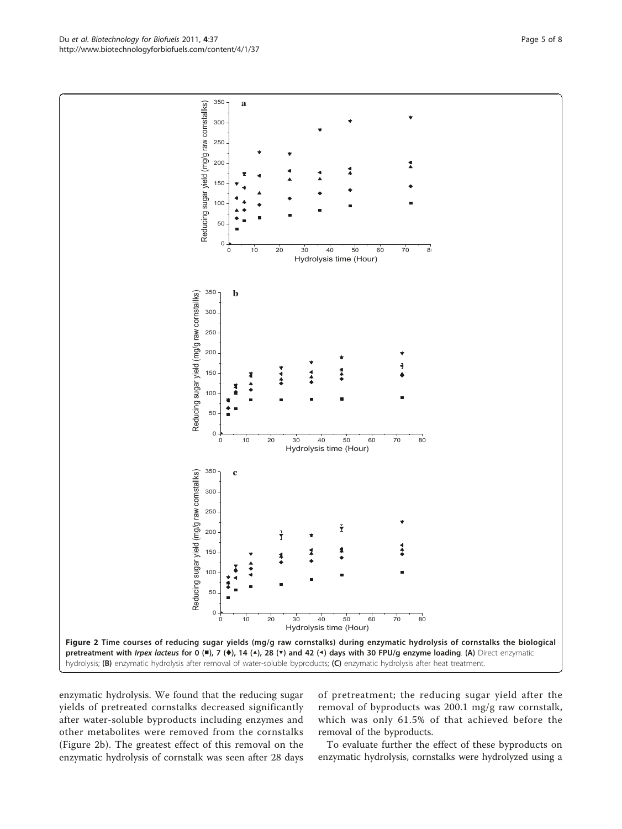enzymatic hydrolysis. We found that the reducing sugar yields of pretreated cornstalks decreased significantly after water-soluble byproducts including enzymes and other metabolites were removed from the cornstalks (Figure 2b). The greatest effect of this removal on the enzymatic hydrolysis of cornstalk was seen after 28 days

of pretreatment; the reducing sugar yield after the removal of byproducts was 200.1 mg/g raw cornstalk, which was only 61.5% of that achieved before the removal of the byproducts.

To evaluate further the effect of these byproducts on enzymatic hydrolysis, cornstalks were hydrolyzed using a

<span id="page-4-0"></span>

Du et al. Biotechnology for Biofuels 2011, 4:37 http://www.biotechnologyforbiofuels.com/content/4/1/37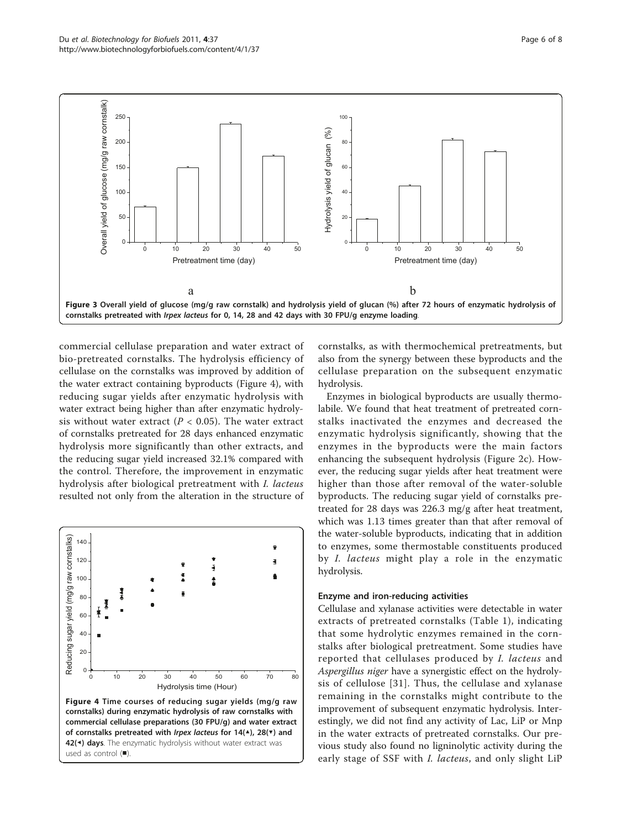<span id="page-5-0"></span>

commercial cellulase preparation and water extract of bio-pretreated cornstalks. The hydrolysis efficiency of cellulase on the cornstalks was improved by addition of the water extract containing byproducts (Figure 4), with reducing sugar yields after enzymatic hydrolysis with water extract being higher than after enzymatic hydrolysis without water extract ( $P < 0.05$ ). The water extract of cornstalks pretreated for 28 days enhanced enzymatic hydrolysis more significantly than other extracts, and the reducing sugar yield increased 32.1% compared with the control. Therefore, the improvement in enzymatic hydrolysis after biological pretreatment with I. lacteus resulted not only from the alteration in the structure of



cornstalks, as with thermochemical pretreatments, but also from the synergy between these byproducts and the cellulase preparation on the subsequent enzymatic hydrolysis.

Enzymes in biological byproducts are usually thermolabile. We found that heat treatment of pretreated cornstalks inactivated the enzymes and decreased the enzymatic hydrolysis significantly, showing that the enzymes in the byproducts were the main factors enhancing the subsequent hydrolysis (Figure [2c](#page-4-0)). However, the reducing sugar yields after heat treatment were higher than those after removal of the water-soluble byproducts. The reducing sugar yield of cornstalks pretreated for 28 days was 226.3 mg/g after heat treatment, which was 1.13 times greater than that after removal of the water-soluble byproducts, indicating that in addition to enzymes, some thermostable constituents produced by I. lacteus might play a role in the enzymatic hydrolysis.

#### Enzyme and iron-reducing activities

Cellulase and xylanase activities were detectable in water extracts of pretreated cornstalks (Table [1](#page-6-0)), indicating that some hydrolytic enzymes remained in the cornstalks after biological pretreatment. Some studies have reported that cellulases produced by I. lacteus and Aspergillus niger have a synergistic effect on the hydrolysis of cellulose [\[31\]](#page-7-0). Thus, the cellulase and xylanase remaining in the cornstalks might contribute to the improvement of subsequent enzymatic hydrolysis. Interestingly, we did not find any activity of Lac, LiP or Mnp in the water extracts of pretreated cornstalks. Our previous study also found no ligninolytic activity during the early stage of SSF with I. lacteus, and only slight LiP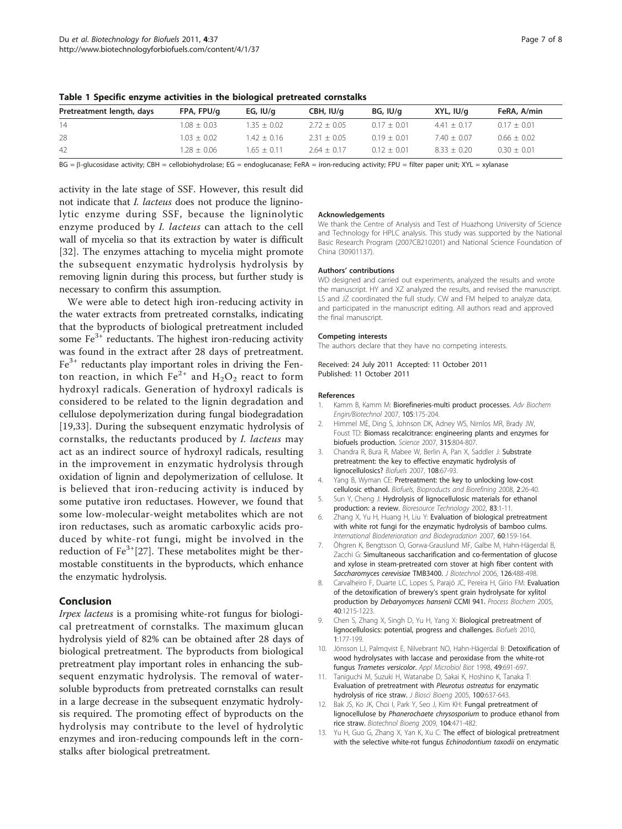Page 7 of 8

| Pretreatment length, days | FPA, FPU/g    | EG, $IU/q$    | CBH, IU/g     | BG, IU/a      | XYL, IU/q     | FeRA, A/min   |  |
|---------------------------|---------------|---------------|---------------|---------------|---------------|---------------|--|
| 14                        | $1.08 + 0.03$ | $1.35 + 0.02$ | $2.72 + 0.05$ | $0.17 + 0.01$ | $4.41 + 0.17$ | $0.17 + 0.01$ |  |
| 28                        | $1.03 + 0.02$ | 1.42 + 0.16   | $2.31 + 0.05$ | $019 + 001$   | $7.40 + 0.07$ | $0.66 + 0.02$ |  |
| 42                        | $1.28 + 0.06$ | $1.65 + 0.11$ | $2.64 + 0.17$ | $0.12 + 0.01$ | $8.33 + 0.20$ | $0.30 + 0.01$ |  |

<span id="page-6-0"></span>Table 1 Specific enzyme activities in the biological pretreated cornstalks

BG =  $\beta$ -glucosidase activity; CBH = cellobiohydrolase; EG = endoglucanase; FeRA = iron-reducing activity; FPU = filter paper unit; XYL = xylanase

activity in the late stage of SSF. However, this result did not indicate that I. lacteus does not produce the ligninolytic enzyme during SSF, because the ligninolytic enzyme produced by I. lacteus can attach to the cell wall of mycelia so that its extraction by water is difficult [[32](#page-7-0)]. The enzymes attaching to mycelia might promote the subsequent enzymatic hydrolysis hydrolysis by removing lignin during this process, but further study is necessary to confirm this assumption.

We were able to detect high iron-reducing activity in the water extracts from pretreated cornstalks, indicating that the byproducts of biological pretreatment included some  $Fe<sup>3+</sup>$  reductants. The highest iron-reducing activity was found in the extract after 28 days of pretreatment.  $Fe<sup>3+</sup>$  reductants play important roles in driving the Fenton reaction, in which  $Fe^{2+}$  and  $H_2O_2$  react to form hydroxyl radicals. Generation of hydroxyl radicals is considered to be related to the lignin degradation and cellulose depolymerization during fungal biodegradation [[19,33](#page-7-0)]. During the subsequent enzymatic hydrolysis of cornstalks, the reductants produced by I. lacteus may act as an indirect source of hydroxyl radicals, resulting in the improvement in enzymatic hydrolysis through oxidation of lignin and depolymerization of cellulose. It is believed that iron-reducing activity is induced by some putative iron reductases. However, we found that some low-molecular-weight metabolites which are not iron reductases, such as aromatic carboxylic acids produced by white-rot fungi, might be involved in the reduction of  $Fe^{3+}[27]$  $Fe^{3+}[27]$  $Fe^{3+}[27]$ . These metabolites might be thermostable constituents in the byproducts, which enhance the enzymatic hydrolysis.

# Conclusion

Irpex lacteus is a promising white-rot fungus for biological pretreatment of cornstalks. The maximum glucan hydrolysis yield of 82% can be obtained after 28 days of biological pretreatment. The byproducts from biological pretreatment play important roles in enhancing the subsequent enzymatic hydrolysis. The removal of watersoluble byproducts from pretreated cornstalks can result in a large decrease in the subsequent enzymatic hydrolysis required. The promoting effect of byproducts on the hydrolysis may contribute to the level of hydrolytic enzymes and iron-reducing compounds left in the cornstalks after biological pretreatment.

#### Acknowledgements

We thank the Centre of Analysis and Test of Huazhong University of Science and Technology for HPLC analysis. This study was supported by the National Basic Research Program (2007CB210201) and National Science Foundation of China (30901137).

#### Authors' contributions

WD designed and carried out experiments, analyzed the results and wrote the manuscript. HY and XZ analyzed the results, and revised the manuscript. LS and JZ coordinated the full study. CW and FM helped to analyze data, and participated in the manuscript editing. All authors read and approved the final manuscript.

#### Competing interests

The authors declare that they have no competing interests.

Received: 24 July 2011 Accepted: 11 October 2011 Published: 11 October 2011

#### References

- 1. Kamm B, Kamm M: Biorefineries-multi product processes. Adv Biochem Engin/Biotechnol 2007, 105:175-204.
- 2. Himmel ME, Ding S, Johnson DK, Adney WS, Nimlos MR, Brady JW, Foust TD: [Biomass recalcitrance: engineering plants and enzymes for](http://www.ncbi.nlm.nih.gov/pubmed/17289988?dopt=Abstract) [biofuels production.](http://www.ncbi.nlm.nih.gov/pubmed/17289988?dopt=Abstract) Science 2007, 315:804-807.
- 3. Chandra R, Bura R, Mabee W, Berlin A, Pan X, Saddler J: Substrate pretreatment: the key to effective enzymatic hydrolysis of lignocellulosics? Biofuels 2007, 108:67-93.
- 4. Yang B, Wyman CE: Pretreatment: the key to unlocking low-cost cellulosic ethanol. Biofuels, Bioproducts and Biorefining 2008, 2:26-40.
- 5. Sun Y, Cheng J: [Hydrolysis of lignocellulosic materials for ethanol](http://www.ncbi.nlm.nih.gov/pubmed/12058826?dopt=Abstract) [production: a review.](http://www.ncbi.nlm.nih.gov/pubmed/12058826?dopt=Abstract) Bioresource Technology 2002, 83:1-11
- 6. Zhang X, Yu H, Huang H, Liu Y: Evaluation of biological pretreatment with white rot fungi for the enzymatic hydrolysis of bamboo culms. International Biodeterioration and Biodegradation 2007, 60:159-164.
- 7. Öhgren K, Bengtsson O, Gorwa-Grauslund MF, Galbe M, Hahn-Hägerdal B, Zacchi G: [Simultaneous saccharification and co-fermentation of glucose](http://www.ncbi.nlm.nih.gov/pubmed/16828190?dopt=Abstract) [and xylose in steam-pretreated corn stover at high fiber content with](http://www.ncbi.nlm.nih.gov/pubmed/16828190?dopt=Abstract) [Saccharomyces cerevisiae](http://www.ncbi.nlm.nih.gov/pubmed/16828190?dopt=Abstract) TMB3400. J Biotechnol 2006, 126:488-498.
- 8. Carvalheiro F, Duarte LC, Lopes S, Parajó JC, Pereira H, Gírio FM: Evaluation of the detoxification of brewery's spent grain hydrolysate for xylitol production by Debaryomyces hansenii CCMI 941. Process Biochem 2005, 40:1215-1223.
- 9. Chen S, Zhang X, Singh D, Yu H, Yang X: Biological pretreatment of lignocellulosics: potential, progress and challenges. Biofuels 2010, 1:177-199.
- 10. Jönsson LJ, Palmqvist E, Nilvebrant NO, Hahn-Hägerdal B: Detoxification of wood hydrolysates with laccase and peroxidase from the white-rot fungus Trametes versicolor. Appl Microbiol Biot 1998, 49:691-697.
- 11. Taniguchi M, Suzuki H, Watanabe D, Sakai K, Hoshino K, Tanaka T: [Evaluation of pretreatment with](http://www.ncbi.nlm.nih.gov/pubmed/16473773?dopt=Abstract) Pleurotus ostreatus for enzymatic [hydrolysis of rice straw.](http://www.ncbi.nlm.nih.gov/pubmed/16473773?dopt=Abstract) J Biosci Bioeng 2005, 100:637-643.
- 12. Bak JS, Ko JK, Choi I, Park Y, Seo J, Kim KH: [Fungal pretreatment of](http://www.ncbi.nlm.nih.gov/pubmed/19591194?dopt=Abstract) lignocellulose by [Phanerochaete chrysosporium](http://www.ncbi.nlm.nih.gov/pubmed/19591194?dopt=Abstract) to produce ethanol from [rice straw.](http://www.ncbi.nlm.nih.gov/pubmed/19591194?dopt=Abstract) Biotechnol Bioeng 2009, 104:471-482.
- 13. Yu H, Guo G, Zhang X, Yan K, Xu C: The effect of biological pretreatment with the selective white-rot fungus Echinodontium taxodii on enzymatic